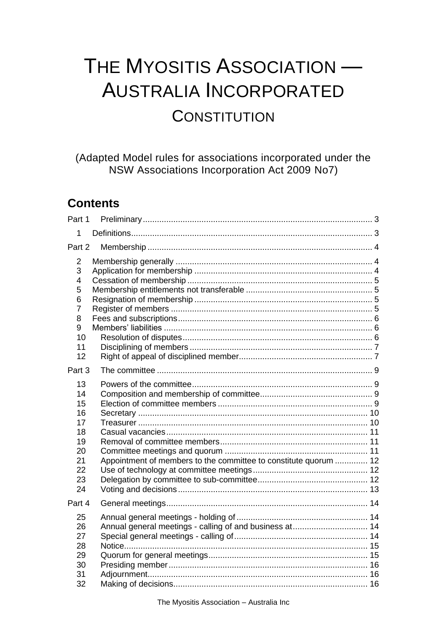# THE MYOSITIS ASSOCIATION -AUSTRALIA INCORPORATED **CONSTITUTION**

(Adapted Model rules for associations incorporated under the NSW Associations Incorporation Act 2009 No7)

# **Contents**

| Part 1                                                               |                                                                  |  |
|----------------------------------------------------------------------|------------------------------------------------------------------|--|
| 1                                                                    |                                                                  |  |
| Part 2                                                               |                                                                  |  |
| 2<br>3<br>4<br>5<br>6<br>7<br>8<br>9<br>10<br>11<br>12               |                                                                  |  |
| Part 3                                                               |                                                                  |  |
| 13<br>14<br>15<br>16<br>17<br>18<br>19<br>20<br>21<br>22<br>23<br>24 | Appointment of members to the committee to constitute quorum  12 |  |
| Part 4                                                               |                                                                  |  |
| 25<br>26<br>27<br>28<br>29<br>30<br>31<br>32                         | Annual general meetings - calling of and business at 14          |  |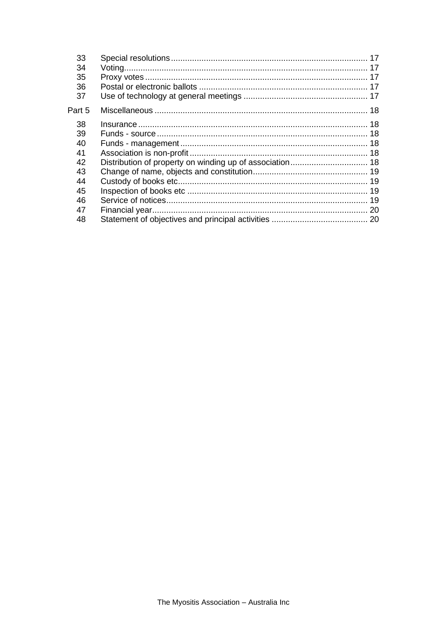| 33<br>34<br>35<br>36<br>37                                     |  |
|----------------------------------------------------------------|--|
| Part 5                                                         |  |
| 38<br>39<br>40<br>41<br>42<br>43<br>44<br>45<br>46<br>47<br>48 |  |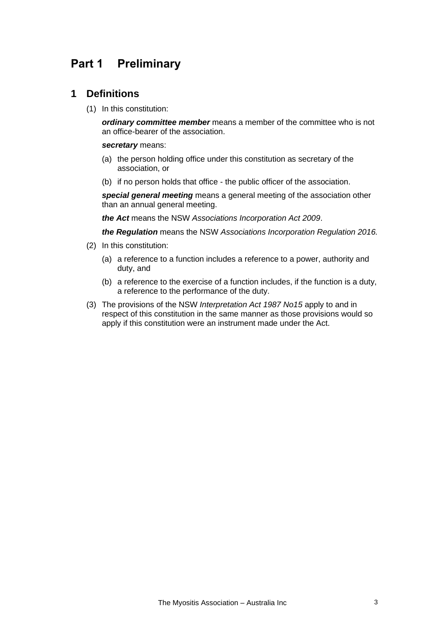# <span id="page-2-1"></span><span id="page-2-0"></span>**Part 1 Preliminary**

### **1 Definitions**

(1) In this constitution:

*ordinary committee member* means a member of the committee who is not an office-bearer of the association.

#### *secretary* means:

- (a) the person holding office under this constitution as secretary of the association, or
- (b) if no person holds that office the public officer of the association.

*special general meeting* means a general meeting of the association other than an annual general meeting.

*the Act* means the NSW *[Associations Incorporation Act 2009](http://www.legislation.nsw.gov.au/xref/inforce/?xref=Type%3Dact%20AND%20Year%3D2009%20AND%20no%3D7&nohits=y)*.

*the Regulation* means the NSW *[Associations Incorporation Regulation 2016.](http://www.legislation.nsw.gov.au/xref/inforce/?xref=Type%3Dsubordleg%20AND%20Year%3D2010%20AND%20No%3D238&nohits=y)*

- (2) In this constitution:
	- (a) a reference to a function includes a reference to a power, authority and duty, and
	- (b) a reference to the exercise of a function includes, if the function is a duty, a reference to the performance of the duty.
- (3) The provisions of the NSW *[Interpretation Act 1987](http://www.legislation.nsw.gov.au/xref/inforce/?xref=Type%3Dact%20AND%20Year%3D1987%20AND%20no%3D15&nohits=y) No15* apply to and in respect of this constitution in the same manner as those provisions would so apply if this constitution were an instrument made under the Act.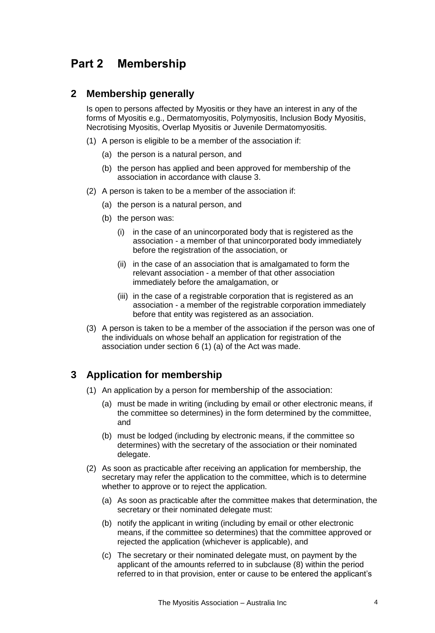# <span id="page-3-1"></span><span id="page-3-0"></span>**Part 2 Membership**

### **2 Membership generally**

Is open to persons affected by Myositis or they have an interest in any of the forms of Myositis e.g., Dermatomyositis, Polymyositis, Inclusion Body Myositis, Necrotising Myositis, Overlap Myositis or Juvenile Dermatomyositis.

- (1) A person is eligible to be a member of the association if:
	- (a) the person is a natural person, and
	- (b) the person has applied and been approved for membership of the association in accordance with clause 3.
- (2) A person is taken to be a member of the association if:
	- (a) the person is a natural person, and
	- (b) the person was:
		- (i) in the case of an unincorporated body that is registered as the association - a member of that unincorporated body immediately before the registration of the association, or
		- (ii) in the case of an association that is amalgamated to form the relevant association - a member of that other association immediately before the amalgamation, or
		- (iii) in the case of a registrable corporation that is registered as an association - a member of the registrable corporation immediately before that entity was registered as an association.
- <span id="page-3-2"></span>(3) A person is taken to be a member of the association if the person was one of the individuals on whose behalf an application for registration of the association under section 6 (1) (a) of the Act was made.

# **3 Application for membership**

- (1) An application by a person for membership of the association:
	- (a) must be made in writing (including by email or other electronic means, if the committee so determines) in the form determined by the committee, and
	- (b) must be lodged (including by electronic means, if the committee so determines) with the secretary of the association or their nominated delegate.
- (2) As soon as practicable after receiving an application for membership, the secretary may refer the application to the committee, which is to determine whether to approve or to reject the application.
	- (a) As soon as practicable after the committee makes that determination, the secretary or their nominated delegate must:
	- (b) notify the applicant in writing (including by email or other electronic means, if the committee so determines) that the committee approved or rejected the application (whichever is applicable), and
	- (c) The secretary or their nominated delegate must, on payment by the applicant of the amounts referred to in subclause (8) within the period referred to in that provision, enter or cause to be entered the applicant's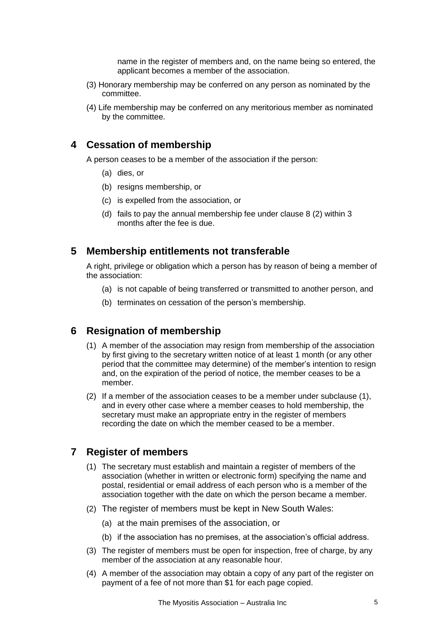name in the register of members and, on the name being so entered, the applicant becomes a member of the association.

- (3) Honorary membership may be conferred on any person as nominated by the committee.
- <span id="page-4-0"></span>(4) Life membership may be conferred on any meritorious member as nominated by the committee.

# **4 Cessation of membership**

A person ceases to be a member of the association if the person:

- (a) dies, or
- (b) resigns membership, or
- (c) is expelled from the association, or
- (d) fails to pay the annual membership fee under clause 8 (2) within 3 months after the fee is due.

### <span id="page-4-1"></span>**5 Membership entitlements not transferable**

A right, privilege or obligation which a person has by reason of being a member of the association:

- (a) is not capable of being transferred or transmitted to another person, and
- (b) terminates on cessation of the person's membership.

### <span id="page-4-2"></span>**6 Resignation of membership**

- (1) A member of the association may resign from membership of the association by first giving to the secretary written notice of at least 1 month (or any other period that the committee may determine) of the member's intention to resign and, on the expiration of the period of notice, the member ceases to be a member.
- <span id="page-4-3"></span>(2) If a member of the association ceases to be a member under subclause (1), and in every other case where a member ceases to hold membership, the secretary must make an appropriate entry in the register of members recording the date on which the member ceased to be a member.

# **7 Register of members**

- (1) The secretary must establish and maintain a register of members of the association (whether in written or electronic form) specifying the name and postal, residential or email address of each person who is a member of the association together with the date on which the person became a member.
- (2) The register of members must be kept in New South Wales:
	- (a) at the main premises of the association, or
	- (b) if the association has no premises, at the association's official address.
- (3) The register of members must be open for inspection, free of charge, by any member of the association at any reasonable hour.
- (4) A member of the association may obtain a copy of any part of the register on payment of a fee of not more than \$1 for each page copied.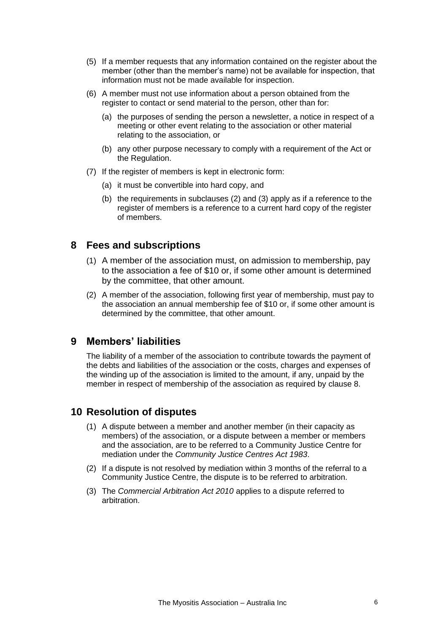- (5) If a member requests that any information contained on the register about the member (other than the member's name) not be available for inspection, that information must not be made available for inspection.
- (6) A member must not use information about a person obtained from the register to contact or send material to the person, other than for:
	- (a) the purposes of sending the person a newsletter, a notice in respect of a meeting or other event relating to the association or other material relating to the association, or
	- (b) any other purpose necessary to comply with a requirement of the Act or the Regulation.
- (7) If the register of members is kept in electronic form:
	- (a) it must be convertible into hard copy, and
	- (b) the requirements in subclauses (2) and (3) apply as if a reference to the register of members is a reference to a current hard copy of the register of members.

### <span id="page-5-0"></span>**8 Fees and subscriptions**

- (1) A member of the association must, on admission to membership, pay to the association a fee of \$10 or, if some other amount is determined by the committee, that other amount.
- <span id="page-5-1"></span>(2) A member of the association, following first year of membership, must pay to the association an annual membership fee of \$10 or, if some other amount is determined by the committee, that other amount.

### **9 Members' liabilities**

<span id="page-5-2"></span>The liability of a member of the association to contribute towards the payment of the debts and liabilities of the association or the costs, charges and expenses of the winding up of the association is limited to the amount, if any, unpaid by the member in respect of membership of the association as required by clause 8.

### **10 Resolution of disputes**

- (1) A dispute between a member and another member (in their capacity as members) of the association, or a dispute between a member or members and the association, are to be referred to a Community Justice Centre for mediation under the *Community Justice Centres Act 1983*.
- (2) If a dispute is not resolved by mediation within 3 months of the referral to a Community Justice Centre, the dispute is to be referred to arbitration.
- (3) The *Commercial Arbitration Act 2010* applies to a dispute referred to arbitration.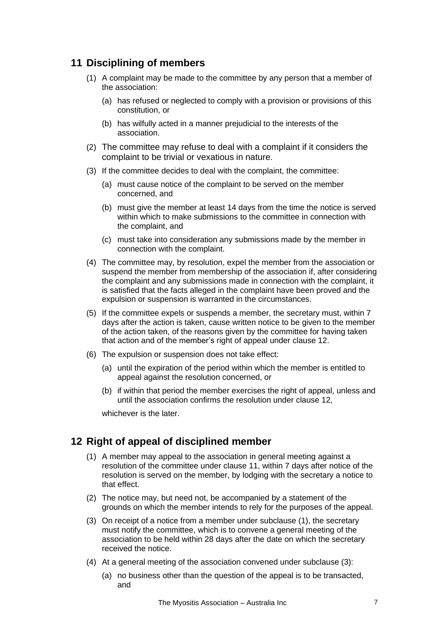# <span id="page-6-0"></span>**11 Disciplining of members**

- (1) A complaint may be made to the committee by any person that a member of the association:
	- (a) has refused or neglected to comply with a provision or provisions of this constitution, or
	- (b) has wilfully acted in a manner prejudicial to the interests of the association.
- (2) The committee may refuse to deal with a complaint if it considers the complaint to be trivial or vexatious in nature.
- (3) If the committee decides to deal with the complaint, the committee:
	- (a) must cause notice of the complaint to be served on the member concerned, and
	- (b) must give the member at least 14 days from the time the notice is served within which to make submissions to the committee in connection with the complaint, and
	- (c) must take into consideration any submissions made by the member in connection with the complaint.
- (4) The committee may, by resolution, expel the member from the association or suspend the member from membership of the association if, after considering the complaint and any submissions made in connection with the complaint, it is satisfied that the facts alleged in the complaint have been proved and the expulsion or suspension is warranted in the circumstances.
- (5) If the committee expels or suspends a member, the secretary must, within 7 days after the action is taken, cause written notice to be given to the member of the action taken, of the reasons given by the committee for having taken that action and of the member's right of appeal under clause 12.
- (6) The expulsion or suspension does not take effect:
	- (a) until the expiration of the period within which the member is entitled to appeal against the resolution concerned, or
	- (b) if within that period the member exercises the right of appeal, unless and until the association confirms the resolution under clause 12,

whichever is the later.

### <span id="page-6-1"></span>**12 Right of appeal of disciplined member**

- (1) A member may appeal to the association in general meeting against a resolution of the committee under clause 11, within 7 days after notice of the resolution is served on the member, by lodging with the secretary a notice to that effect.
- (2) The notice may, but need not, be accompanied by a statement of the grounds on which the member intends to rely for the purposes of the appeal.
- (3) On receipt of a notice from a member under subclause (1), the secretary must notify the committee, which is to convene a general meeting of the association to be held within 28 days after the date on which the secretary received the notice.
- (4) At a general meeting of the association convened under subclause (3):
	- (a) no business other than the question of the appeal is to be transacted, and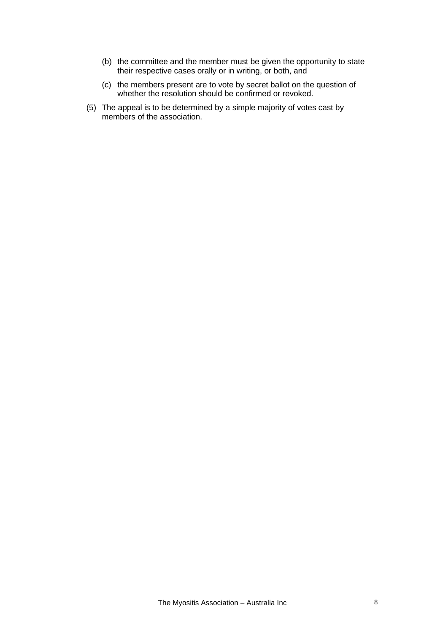- (b) the committee and the member must be given the opportunity to state their respective cases orally or in writing, or both, and
- (c) the members present are to vote by secret ballot on the question of whether the resolution should be confirmed or revoked.
- (5) The appeal is to be determined by a simple majority of votes cast by members of the association.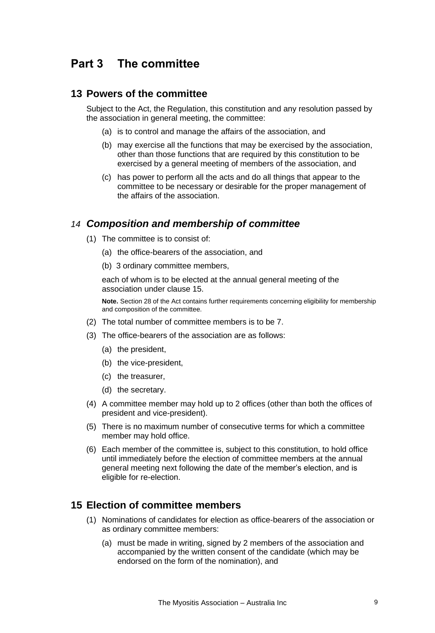# <span id="page-8-1"></span><span id="page-8-0"></span>**Part 3 The committee**

#### **13 Powers of the committee**

Subject to the Act, the Regulation, this constitution and any resolution passed by the association in general meeting, the committee:

- (a) is to control and manage the affairs of the association, and
- (b) may exercise all the functions that may be exercised by the association, other than those functions that are required by this constitution to be exercised by a general meeting of members of the association, and
- (c) has power to perform all the acts and do all things that appear to the committee to be necessary or desirable for the proper management of the affairs of the association.

### <span id="page-8-2"></span>*14 Composition and membership of committee*

- (1) The committee is to consist of:
	- (a) the office-bearers of the association, and
	- (b) 3 ordinary committee members,

each of whom is to be elected at the annual general meeting of the association under clause 15.

**Note.** Section 28 of the Act contains further requirements concerning eligibility for membership and composition of the committee.

- (2) The total number of committee members is to be 7.
- (3) The office-bearers of the association are as follows:
	- (a) the president,
	- (b) the vice-president,
	- (c) the treasurer,
	- (d) the secretary.
- (4) A committee member may hold up to 2 offices (other than both the offices of president and vice-president).
- (5) There is no maximum number of consecutive terms for which a committee member may hold office.
- <span id="page-8-3"></span>(6) Each member of the committee is, subject to this constitution, to hold office until immediately before the election of committee members at the annual general meeting next following the date of the member's election, and is eligible for re-election.

### **15 Election of committee members**

- (1) Nominations of candidates for election as office-bearers of the association or as ordinary committee members:
	- (a) must be made in writing, signed by 2 members of the association and accompanied by the written consent of the candidate (which may be endorsed on the form of the nomination), and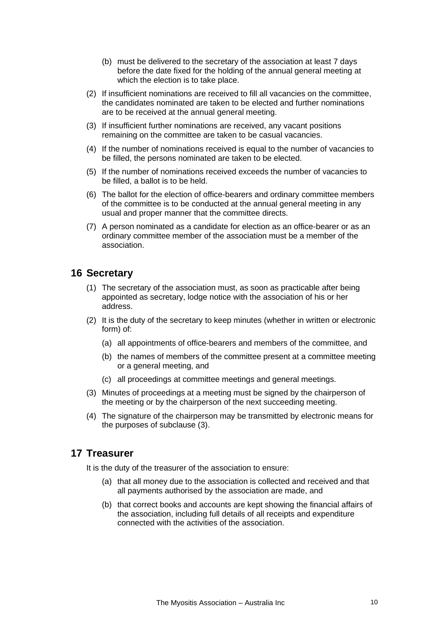- (b) must be delivered to the secretary of the association at least 7 days before the date fixed for the holding of the annual general meeting at which the election is to take place.
- (2) If insufficient nominations are received to fill all vacancies on the committee, the candidates nominated are taken to be elected and further nominations are to be received at the annual general meeting.
- (3) If insufficient further nominations are received, any vacant positions remaining on the committee are taken to be casual vacancies.
- (4) If the number of nominations received is equal to the number of vacancies to be filled, the persons nominated are taken to be elected.
- (5) If the number of nominations received exceeds the number of vacancies to be filled, a ballot is to be held.
- (6) The ballot for the election of office-bearers and ordinary committee members of the committee is to be conducted at the annual general meeting in any usual and proper manner that the committee directs.
- <span id="page-9-0"></span>(7) A person nominated as a candidate for election as an office-bearer or as an ordinary committee member of the association must be a member of the association.

### **16 Secretary**

- (1) The secretary of the association must, as soon as practicable after being appointed as secretary, lodge notice with the association of his or her address.
- (2) It is the duty of the secretary to keep minutes (whether in written or electronic form) of:
	- (a) all appointments of office-bearers and members of the committee, and
	- (b) the names of members of the committee present at a committee meeting or a general meeting, and
	- (c) all proceedings at committee meetings and general meetings.
- (3) Minutes of proceedings at a meeting must be signed by the chairperson of the meeting or by the chairperson of the next succeeding meeting.
- <span id="page-9-1"></span>(4) The signature of the chairperson may be transmitted by electronic means for the purposes of subclause (3).

### **17 Treasurer**

It is the duty of the treasurer of the association to ensure:

- (a) that all money due to the association is collected and received and that all payments authorised by the association are made, and
- (b) that correct books and accounts are kept showing the financial affairs of the association, including full details of all receipts and expenditure connected with the activities of the association.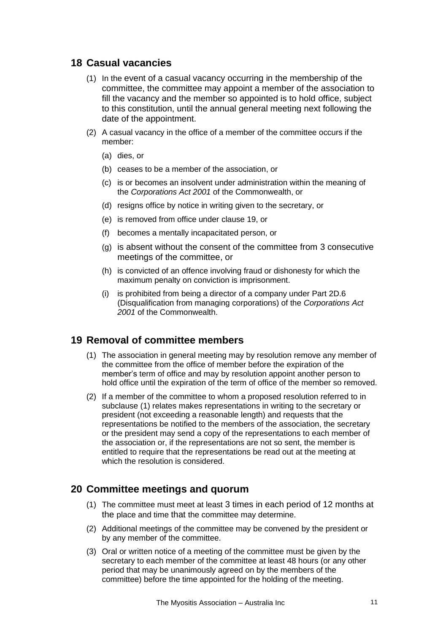### <span id="page-10-0"></span>**18 Casual vacancies**

- (1) In the event of a casual vacancy occurring in the membership of the committee, the committee may appoint a member of the association to fill the vacancy and the member so appointed is to hold office, subject to this constitution, until the annual general meeting next following the date of the appointment.
- (2) A casual vacancy in the office of a member of the committee occurs if the member:
	- (a) dies, or
	- (b) ceases to be a member of the association, or
	- (c) is or becomes an insolvent under administration within the meaning of the *[Corporations Act 2001](http://www.comlaw.gov.au/)* of the Commonwealth, or
	- (d) resigns office by notice in writing given to the secretary, or
	- (e) is removed from office under clause 19, or
	- (f) becomes a mentally incapacitated person, or
	- (g) is absent without the consent of the committee from 3 consecutive meetings of the committee, or
	- (h) is convicted of an offence involving fraud or dishonesty for which the maximum penalty on conviction is imprisonment.
	- (i) is prohibited from being a director of a company under Part 2D.6 (Disqualification from managing corporations) of the *[Corporations Act](http://www.comlaw.gov.au/)  [2001](http://www.comlaw.gov.au/)* of the Commonwealth.

### <span id="page-10-1"></span>**19 Removal of committee members**

- (1) The association in general meeting may by resolution remove any member of the committee from the office of member before the expiration of the member's term of office and may by resolution appoint another person to hold office until the expiration of the term of office of the member so removed.
- (2) If a member of the committee to whom a proposed resolution referred to in subclause (1) relates makes representations in writing to the secretary or president (not exceeding a reasonable length) and requests that the representations be notified to the members of the association, the secretary or the president may send a copy of the representations to each member of the association or, if the representations are not so sent, the member is entitled to require that the representations be read out at the meeting at which the resolution is considered.

# <span id="page-10-2"></span>**20 Committee meetings and quorum**

- (1) The committee must meet at least 3 times in each period of 12 months at the place and time that the committee may determine.
- (2) Additional meetings of the committee may be convened by the president or by any member of the committee.
- (3) Oral or written notice of a meeting of the committee must be given by the secretary to each member of the committee at least 48 hours (or any other period that may be unanimously agreed on by the members of the committee) before the time appointed for the holding of the meeting.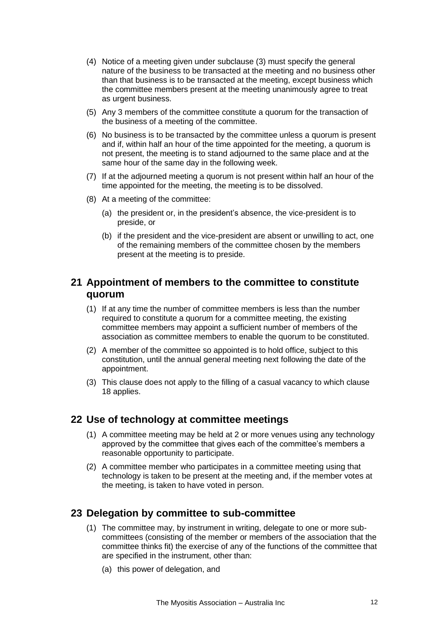- (4) Notice of a meeting given under subclause (3) must specify the general nature of the business to be transacted at the meeting and no business other than that business is to be transacted at the meeting, except business which the committee members present at the meeting unanimously agree to treat as urgent business.
- (5) Any 3 members of the committee constitute a quorum for the transaction of the business of a meeting of the committee.
- (6) No business is to be transacted by the committee unless a quorum is present and if, within half an hour of the time appointed for the meeting, a quorum is not present, the meeting is to stand adjourned to the same place and at the same hour of the same day in the following week.
- (7) If at the adjourned meeting a quorum is not present within half an hour of the time appointed for the meeting, the meeting is to be dissolved.
- (8) At a meeting of the committee:
	- (a) the president or, in the president's absence, the vice-president is to preside, or
	- (b) if the president and the vice-president are absent or unwilling to act, one of the remaining members of the committee chosen by the members present at the meeting is to preside.

# <span id="page-11-0"></span>**21 Appointment of members to the committee to constitute quorum**

- (1) If at any time the number of committee members is less than the number required to constitute a quorum for a committee meeting, the existing committee members may appoint a sufficient number of members of the association as committee members to enable the quorum to be constituted.
- (2) A member of the committee so appointed is to hold office, subject to this constitution, until the annual general meeting next following the date of the appointment.
- <span id="page-11-1"></span>(3) This clause does not apply to the filling of a casual vacancy to which clause 18 applies.

### **22 Use of technology at committee meetings**

- (1) A committee meeting may be held at 2 or more venues using any technology approved by the committee that gives each of the committee's members a reasonable opportunity to participate.
- <span id="page-11-2"></span>(2) A committee member who participates in a committee meeting using that technology is taken to be present at the meeting and, if the member votes at the meeting, is taken to have voted in person.

### **23 Delegation by committee to sub-committee**

- (1) The committee may, by instrument in writing, delegate to one or more subcommittees (consisting of the member or members of the association that the committee thinks fit) the exercise of any of the functions of the committee that are specified in the instrument, other than:
	- (a) this power of delegation, and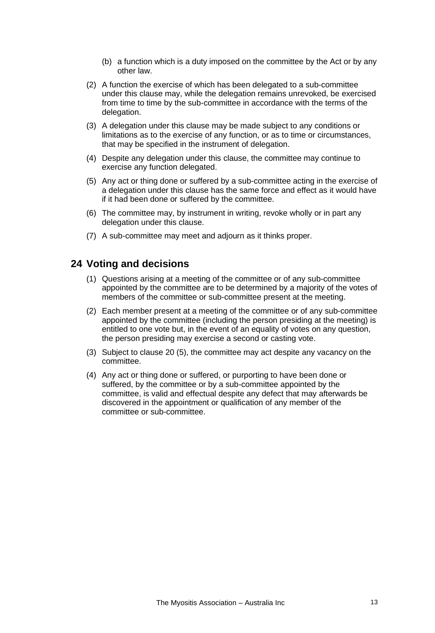- (b) a function which is a duty imposed on the committee by the Act or by any other law.
- (2) A function the exercise of which has been delegated to a sub-committee under this clause may, while the delegation remains unrevoked, be exercised from time to time by the sub-committee in accordance with the terms of the delegation.
- (3) A delegation under this clause may be made subject to any conditions or limitations as to the exercise of any function, or as to time or circumstances, that may be specified in the instrument of delegation.
- (4) Despite any delegation under this clause, the committee may continue to exercise any function delegated.
- (5) Any act or thing done or suffered by a sub-committee acting in the exercise of a delegation under this clause has the same force and effect as it would have if it had been done or suffered by the committee.
- (6) The committee may, by instrument in writing, revoke wholly or in part any delegation under this clause.
- <span id="page-12-0"></span>(7) A sub-committee may meet and adjourn as it thinks proper.

### **24 Voting and decisions**

- (1) Questions arising at a meeting of the committee or of any sub-committee appointed by the committee are to be determined by a majority of the votes of members of the committee or sub-committee present at the meeting.
- (2) Each member present at a meeting of the committee or of any sub-committee appointed by the committee (including the person presiding at the meeting) is entitled to one vote but, in the event of an equality of votes on any question, the person presiding may exercise a second or casting vote.
- (3) Subject to clause 20 (5), the committee may act despite any vacancy on the committee.
- (4) Any act or thing done or suffered, or purporting to have been done or suffered, by the committee or by a sub-committee appointed by the committee, is valid and effectual despite any defect that may afterwards be discovered in the appointment or qualification of any member of the committee or sub-committee.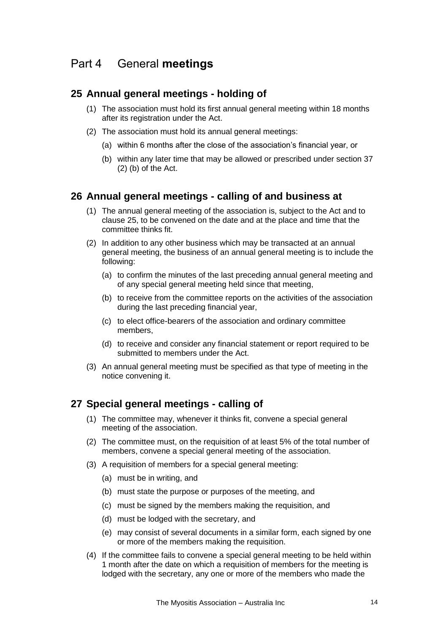# <span id="page-13-1"></span><span id="page-13-0"></span>Part 4 General **meetings**

# **25 Annual general meetings - holding of**

- (1) The association must hold its first annual general meeting within 18 months after its registration under the Act.
- (2) The association must hold its annual general meetings:
	- (a) within 6 months after the close of the association's financial year, or
	- (b) within any later time that may be allowed or prescribed under section 37 (2) (b) of the Act.

# <span id="page-13-2"></span>**26 Annual general meetings - calling of and business at**

- (1) The annual general meeting of the association is, subject to the Act and to clause 25, to be convened on the date and at the place and time that the committee thinks fit.
- (2) In addition to any other business which may be transacted at an annual general meeting, the business of an annual general meeting is to include the following:
	- (a) to confirm the minutes of the last preceding annual general meeting and of any special general meeting held since that meeting,
	- (b) to receive from the committee reports on the activities of the association during the last preceding financial year,
	- (c) to elect office-bearers of the association and ordinary committee members,
	- (d) to receive and consider any financial statement or report required to be submitted to members under the Act.
- <span id="page-13-3"></span>(3) An annual general meeting must be specified as that type of meeting in the notice convening it.

# **27 Special general meetings - calling of**

- (1) The committee may, whenever it thinks fit, convene a special general meeting of the association.
- (2) The committee must, on the requisition of at least 5% of the total number of members, convene a special general meeting of the association.
- (3) A requisition of members for a special general meeting:
	- (a) must be in writing, and
	- (b) must state the purpose or purposes of the meeting, and
	- (c) must be signed by the members making the requisition, and
	- (d) must be lodged with the secretary, and
	- (e) may consist of several documents in a similar form, each signed by one or more of the members making the requisition.
- (4) If the committee fails to convene a special general meeting to be held within 1 month after the date on which a requisition of members for the meeting is lodged with the secretary, any one or more of the members who made the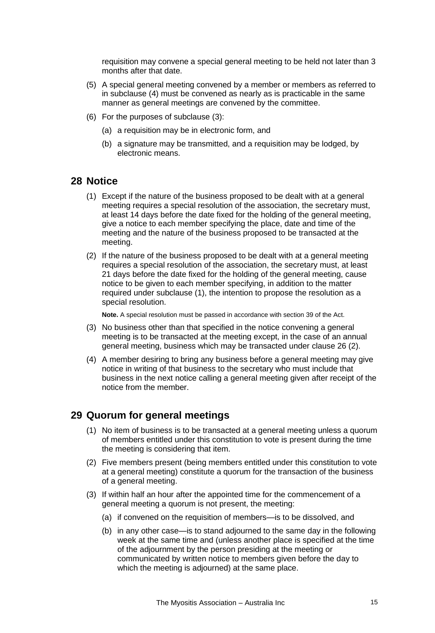requisition may convene a special general meeting to be held not later than 3 months after that date.

- (5) A special general meeting convened by a member or members as referred to in subclause (4) must be convened as nearly as is practicable in the same manner as general meetings are convened by the committee.
- (6) For the purposes of subclause (3):
	- (a) a requisition may be in electronic form, and
	- (b) a signature may be transmitted, and a requisition may be lodged, by electronic means.

### <span id="page-14-0"></span>**28 Notice**

- (1) Except if the nature of the business proposed to be dealt with at a general meeting requires a special resolution of the association, the secretary must, at least 14 days before the date fixed for the holding of the general meeting, give a notice to each member specifying the place, date and time of the meeting and the nature of the business proposed to be transacted at the meeting.
- (2) If the nature of the business proposed to be dealt with at a general meeting requires a special resolution of the association, the secretary must, at least 21 days before the date fixed for the holding of the general meeting, cause notice to be given to each member specifying, in addition to the matter required under subclause (1), the intention to propose the resolution as a special resolution.

**Note.** A special resolution must be passed in accordance with section 39 of the Act.

- (3) No business other than that specified in the notice convening a general meeting is to be transacted at the meeting except, in the case of an annual general meeting, business which may be transacted under clause 26 (2).
- <span id="page-14-1"></span>(4) A member desiring to bring any business before a general meeting may give notice in writing of that business to the secretary who must include that business in the next notice calling a general meeting given after receipt of the notice from the member.

### **29 Quorum for general meetings**

- (1) No item of business is to be transacted at a general meeting unless a quorum of members entitled under this constitution to vote is present during the time the meeting is considering that item.
- (2) Five members present (being members entitled under this constitution to vote at a general meeting) constitute a quorum for the transaction of the business of a general meeting.
- (3) If within half an hour after the appointed time for the commencement of a general meeting a quorum is not present, the meeting:
	- (a) if convened on the requisition of members—is to be dissolved, and
	- (b) in any other case—is to stand adjourned to the same day in the following week at the same time and (unless another place is specified at the time of the adjournment by the person presiding at the meeting or communicated by written notice to members given before the day to which the meeting is adjourned) at the same place.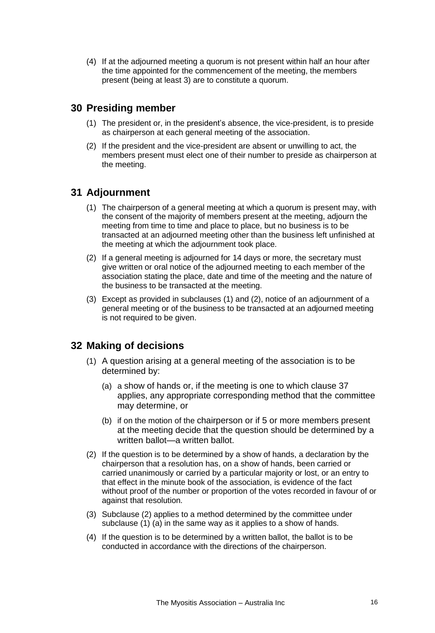<span id="page-15-0"></span>(4) If at the adjourned meeting a quorum is not present within half an hour after the time appointed for the commencement of the meeting, the members present (being at least 3) are to constitute a quorum.

# **30 Presiding member**

- (1) The president or, in the president's absence, the vice-president, is to preside as chairperson at each general meeting of the association.
- <span id="page-15-1"></span>(2) If the president and the vice-president are absent or unwilling to act, the members present must elect one of their number to preside as chairperson at the meeting.

# **31 Adjournment**

- (1) The chairperson of a general meeting at which a quorum is present may, with the consent of the majority of members present at the meeting, adjourn the meeting from time to time and place to place, but no business is to be transacted at an adjourned meeting other than the business left unfinished at the meeting at which the adjournment took place.
- (2) If a general meeting is adjourned for 14 days or more, the secretary must give written or oral notice of the adjourned meeting to each member of the association stating the place, date and time of the meeting and the nature of the business to be transacted at the meeting.
- <span id="page-15-2"></span>(3) Except as provided in subclauses (1) and (2), notice of an adjournment of a general meeting or of the business to be transacted at an adjourned meeting is not required to be given.

# **32 Making of decisions**

- (1) A question arising at a general meeting of the association is to be determined by:
	- (a) a show of hands or, if the meeting is one to which clause 37 applies, any appropriate corresponding method that the committee may determine, or
	- (b) if on the motion of the chairperson or if 5 or more members present at the meeting decide that the question should be determined by a written ballot—a written ballot.
- (2) If the question is to be determined by a show of hands, a declaration by the chairperson that a resolution has, on a show of hands, been carried or carried unanimously or carried by a particular majority or lost, or an entry to that effect in the minute book of the association, is evidence of the fact without proof of the number or proportion of the votes recorded in favour of or against that resolution.
- (3) Subclause (2) applies to a method determined by the committee under subclause (1) (a) in the same way as it applies to a show of hands.
- (4) If the question is to be determined by a written ballot, the ballot is to be conducted in accordance with the directions of the chairperson.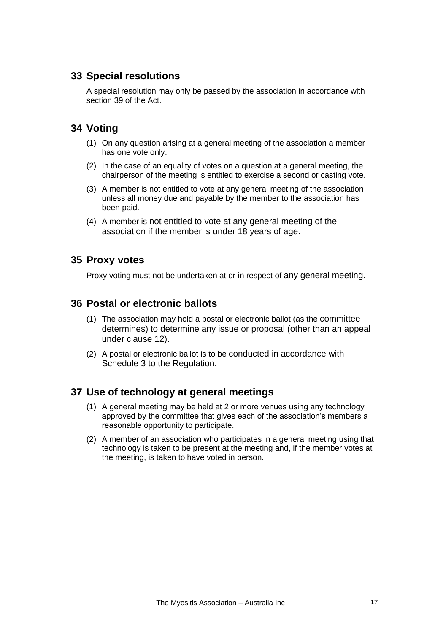# <span id="page-16-0"></span>**33 Special resolutions**

<span id="page-16-1"></span>A special resolution may only be passed by the association in accordance with section 39 of the Act.

# **34 Voting**

- (1) On any question arising at a general meeting of the association a member has one vote only.
- (2) In the case of an equality of votes on a question at a general meeting, the chairperson of the meeting is entitled to exercise a second or casting vote.
- (3) A member is not entitled to vote at any general meeting of the association unless all money due and payable by the member to the association has been paid.
- <span id="page-16-2"></span>(4) A member is not entitled to vote at any general meeting of the association if the member is under 18 years of age.

### <span id="page-16-3"></span>**35 Proxy votes**

Proxy voting must not be undertaken at or in respect of any general meeting.

### **36 Postal or electronic ballots**

- (1) The association may hold a postal or electronic ballot (as the committee determines) to determine any issue or proposal (other than an appeal under clause 12).
- <span id="page-16-4"></span>(2) A postal or electronic ballot is to be conducted in accordance with Schedule 3 to the Regulation.

### **37 Use of technology at general meetings**

- (1) A general meeting may be held at 2 or more venues using any technology approved by the committee that gives each of the association's members a reasonable opportunity to participate.
- (2) A member of an association who participates in a general meeting using that technology is taken to be present at the meeting and, if the member votes at the meeting, is taken to have voted in person.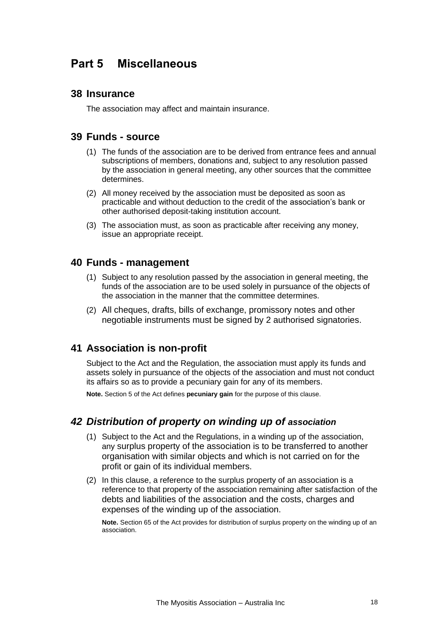# <span id="page-17-1"></span><span id="page-17-0"></span>**Part 5 Miscellaneous**

### <span id="page-17-2"></span>**38 Insurance**

The association may affect and maintain insurance.

#### **39 Funds - source**

- (1) The funds of the association are to be derived from entrance fees and annual subscriptions of members, donations and, subject to any resolution passed by the association in general meeting, any other sources that the committee determines.
- (2) All money received by the association must be deposited as soon as practicable and without deduction to the credit of the association's bank or other authorised deposit-taking institution account.
- <span id="page-17-3"></span>(3) The association must, as soon as practicable after receiving any money, issue an appropriate receipt.

#### **40 Funds - management**

- (1) Subject to any resolution passed by the association in general meeting, the funds of the association are to be used solely in pursuance of the objects of the association in the manner that the committee determines.
- <span id="page-17-4"></span>(2) All cheques, drafts, bills of exchange, promissory notes and other negotiable instruments must be signed by 2 authorised signatories.

### **41 Association is non-profit**

Subject to the Act and the Regulation, the association must apply its funds and assets solely in pursuance of the objects of the association and must not conduct its affairs so as to provide a pecuniary gain for any of its members.

<span id="page-17-5"></span>**Note.** Section 5 of the Act defines **pecuniary gain** for the purpose of this clause.

### *42 Distribution of property on winding up of association*

- (1) Subject to the Act and the Regulations, in a winding up of the association, any surplus property of the association is to be transferred to another organisation with similar objects and which is not carried on for the profit or gain of its individual members.
- (2) In this clause, a reference to the surplus property of an association is a reference to that property of the association remaining after satisfaction of the debts and liabilities of the association and the costs, charges and expenses of the winding up of the association.

**Note.** Section 65 of the Act provides for distribution of surplus property on the winding up of an association.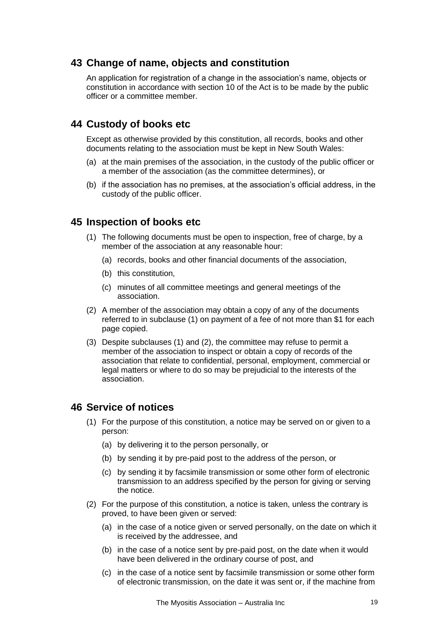### <span id="page-18-0"></span>**43 Change of name, objects and constitution**

<span id="page-18-1"></span>An application for registration of a change in the association's name, objects or constitution in accordance with section 10 of the Act is to be made by the public officer or a committee member.

# **44 Custody of books etc**

Except as otherwise provided by this constitution, all records, books and other documents relating to the association must be kept in New South Wales:

- (a) at the main premises of the association, in the custody of the public officer or a member of the association (as the committee determines), or
- <span id="page-18-2"></span>(b) if the association has no premises, at the association's official address, in the custody of the public officer.

### **45 Inspection of books etc**

- (1) The following documents must be open to inspection, free of charge, by a member of the association at any reasonable hour:
	- (a) records, books and other financial documents of the association,
	- (b) this constitution,
	- (c) minutes of all committee meetings and general meetings of the association.
- (2) A member of the association may obtain a copy of any of the documents referred to in subclause (1) on payment of a fee of not more than \$1 for each page copied.
- (3) Despite subclauses (1) and (2), the committee may refuse to permit a member of the association to inspect or obtain a copy of records of the association that relate to confidential, personal, employment, commercial or legal matters or where to do so may be prejudicial to the interests of the association.

### <span id="page-18-3"></span>**46 Service of notices**

- (1) For the purpose of this constitution, a notice may be served on or given to a person:
	- (a) by delivering it to the person personally, or
	- (b) by sending it by pre-paid post to the address of the person, or
	- (c) by sending it by facsimile transmission or some other form of electronic transmission to an address specified by the person for giving or serving the notice.
- (2) For the purpose of this constitution, a notice is taken, unless the contrary is proved, to have been given or served:
	- (a) in the case of a notice given or served personally, on the date on which it is received by the addressee, and
	- (b) in the case of a notice sent by pre-paid post, on the date when it would have been delivered in the ordinary course of post, and
	- (c) in the case of a notice sent by facsimile transmission or some other form of electronic transmission, on the date it was sent or, if the machine from